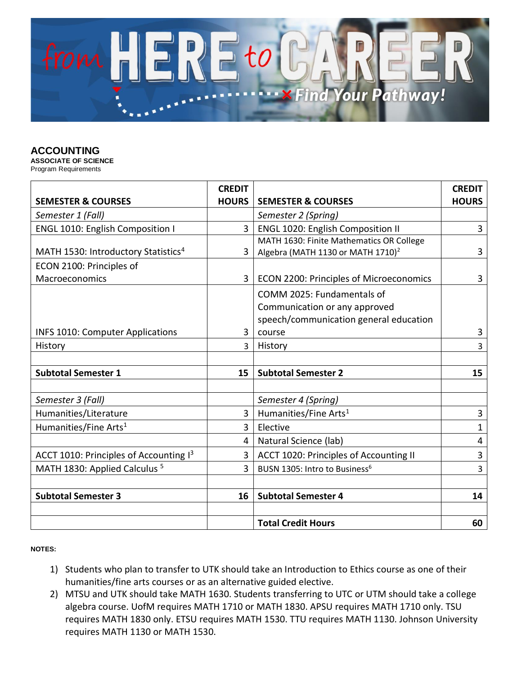

## **ACCOUNTING**

**ASSOCIATE OF SCIENCE** Program Requirements

|                                                 | <b>CREDIT</b>  |                                               | <b>CREDIT</b> |
|-------------------------------------------------|----------------|-----------------------------------------------|---------------|
| <b>SEMESTER &amp; COURSES</b>                   | <b>HOURS</b>   | <b>SEMESTER &amp; COURSES</b>                 | <b>HOURS</b>  |
| Semester 1 (Fall)                               |                | Semester 2 (Spring)                           |               |
| ENGL 1010: English Composition I                | $\overline{3}$ | ENGL 1020: English Composition II             | 3             |
|                                                 |                | MATH 1630: Finite Mathematics OR College      |               |
| MATH 1530: Introductory Statistics <sup>4</sup> | 3              | Algebra (MATH 1130 or MATH 1710) <sup>2</sup> | 3             |
| ECON 2100: Principles of                        |                |                                               |               |
| Macroeconomics                                  | $\overline{3}$ | ECON 2200: Principles of Microeconomics       | 3             |
|                                                 |                | COMM 2025: Fundamentals of                    |               |
|                                                 |                | Communication or any approved                 |               |
|                                                 |                | speech/communication general education        |               |
| <b>INFS 1010: Computer Applications</b>         | 3              | course                                        | 3             |
| History                                         | $\overline{3}$ | History                                       | 3             |
|                                                 |                |                                               |               |
| <b>Subtotal Semester 1</b>                      | 15             | <b>Subtotal Semester 2</b>                    | 15            |
|                                                 |                |                                               |               |
| Semester 3 (Fall)                               |                | Semester 4 (Spring)                           |               |
| Humanities/Literature                           | $\overline{3}$ | Humanities/Fine Arts <sup>1</sup>             | 3             |
| Humanities/Fine Arts <sup>1</sup>               | 3              | Elective                                      | $\mathbf{1}$  |
|                                                 | 4              | Natural Science (lab)                         | 4             |
| ACCT 1010: Principles of Accounting 13          | 3              | ACCT 1020: Principles of Accounting II        | 3             |
| MATH 1830: Applied Calculus <sup>5</sup>        | 3              | BUSN 1305: Intro to Business <sup>6</sup>     | 3             |
|                                                 |                |                                               |               |
| <b>Subtotal Semester 3</b>                      | 16             | <b>Subtotal Semester 4</b>                    | 14            |
|                                                 |                |                                               |               |
|                                                 |                | <b>Total Credit Hours</b>                     | 60            |

## **NOTES:**

- 1) Students who plan to transfer to UTK should take an Introduction to Ethics course as one of their humanities/fine arts courses or as an alternative guided elective.
- 2) MTSU and UTK should take MATH 1630. Students transferring to UTC or UTM should take a college algebra course. UofM requires MATH 1710 or MATH 1830. APSU requires MATH 1710 only. TSU requires MATH 1830 only. ETSU requires MATH 1530. TTU requires MATH 1130. Johnson University requires MATH 1130 or MATH 1530.